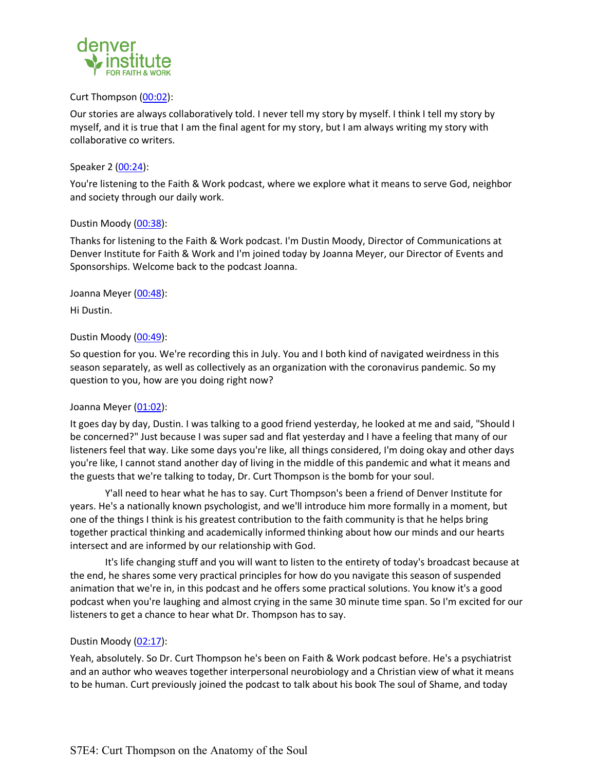

#### Curt Thompson (00:02):

Our stories are always collaboratively told. I never tell my story by myself. I think I tell my story by myself, and it is true that I am the final agent for my story, but I am always writing my story with collaborative co writers.

#### Speaker 2 (00:24):

You're listening to the Faith & Work podcast, where we explore what it means to serve God, neighbor and society through our daily work.

#### Dustin Moody (00:38):

Thanks for listening to the Faith & Work podcast. I'm Dustin Moody, Director of Communications at Denver Institute for Faith & Work and I'm joined today by Joanna Meyer, our Director of Events and Sponsorships. Welcome back to the podcast Joanna.

Joanna Meyer (00:48):

Hi Dustin.

### Dustin Moody (00:49):

So question for you. We're recording this in July. You and I both kind of navigated weirdness in this season separately, as well as collectively as an organization with the coronavirus pandemic. So my question to you, how are you doing right now?

### Joanna Meyer (01:02):

It goes day by day, Dustin. I was talking to a good friend yesterday, he looked at me and said, "Should I be concerned?" Just because I was super sad and flat yesterday and I have a feeling that many of our listeners feel that way. Like some days you're like, all things considered, I'm doing okay and other days you're like, I cannot stand another day of living in the middle of this pandemic and what it means and the guests that we're talking to today, Dr. Curt Thompson is the bomb for your soul.

Y'all need to hear what he has to say. Curt Thompson's been a friend of Denver Institute for years. He's a nationally known psychologist, and we'll introduce him more formally in a moment, but one of the things I think is his greatest contribution to the faith community is that he helps bring together practical thinking and academically informed thinking about how our minds and our hearts intersect and are informed by our relationship with God.

It's life changing stuff and you will want to listen to the entirety of today's broadcast because at the end, he shares some very practical principles for how do you navigate this season of suspended animation that we're in, in this podcast and he offers some practical solutions. You know it's a good podcast when you're laughing and almost crying in the same 30 minute time span. So I'm excited for our listeners to get a chance to hear what Dr. Thompson has to say.

### Dustin Moody (02:17):

Yeah, absolutely. So Dr. Curt Thompson he's been on Faith & Work podcast before. He's a psychiatrist and an author who weaves together interpersonal neurobiology and a Christian view of what it means to be human. Curt previously joined the podcast to talk about his book The soul of Shame, and today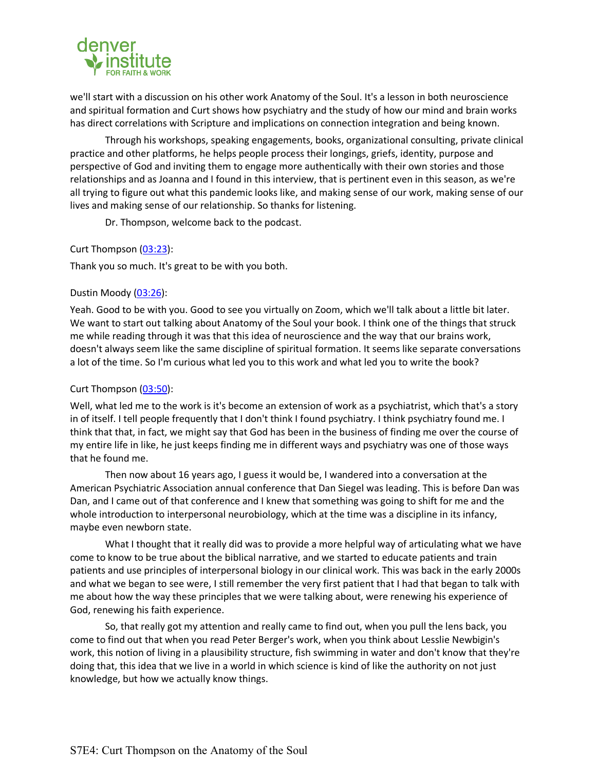

we'll start with a discussion on his other work Anatomy of the Soul. It's a lesson in both neuroscience and spiritual formation and Curt shows how psychiatry and the study of how our mind and brain works has direct correlations with Scripture and implications on connection integration and being known.

Through his workshops, speaking engagements, books, organizational consulting, private clinical practice and other platforms, he helps people process their longings, griefs, identity, purpose and perspective of God and inviting them to engage more authentically with their own stories and those relationships and as Joanna and I found in this interview, that is pertinent even in this season, as we're all trying to figure out what this pandemic looks like, and making sense of our work, making sense of our lives and making sense of our relationship. So thanks for listening.

Dr. Thompson, welcome back to the podcast.

### Curt Thompson (03:23):

Thank you so much. It's great to be with you both.

### Dustin Moody (03:26):

Yeah. Good to be with you. Good to see you virtually on Zoom, which we'll talk about a little bit later. We want to start out talking about Anatomy of the Soul your book. I think one of the things that struck me while reading through it was that this idea of neuroscience and the way that our brains work, doesn't always seem like the same discipline of spiritual formation. It seems like separate conversations a lot of the time. So I'm curious what led you to this work and what led you to write the book?

# Curt Thompson (03:50):

Well, what led me to the work is it's become an extension of work as a psychiatrist, which that's a story in of itself. I tell people frequently that I don't think I found psychiatry. I think psychiatry found me. I think that that, in fact, we might say that God has been in the business of finding me over the course of my entire life in like, he just keeps finding me in different ways and psychiatry was one of those ways that he found me.

Then now about 16 years ago, I guess it would be, I wandered into a conversation at the American Psychiatric Association annual conference that Dan Siegel was leading. This is before Dan was Dan, and I came out of that conference and I knew that something was going to shift for me and the whole introduction to interpersonal neurobiology, which at the time was a discipline in its infancy, maybe even newborn state.

What I thought that it really did was to provide a more helpful way of articulating what we have come to know to be true about the biblical narrative, and we started to educate patients and train patients and use principles of interpersonal biology in our clinical work. This was back in the early 2000s and what we began to see were, I still remember the very first patient that I had that began to talk with me about how the way these principles that we were talking about, were renewing his experience of God, renewing his faith experience.

So, that really got my attention and really came to find out, when you pull the lens back, you come to find out that when you read Peter Berger's work, when you think about Lesslie Newbigin's work, this notion of living in a plausibility structure, fish swimming in water and don't know that they're doing that, this idea that we live in a world in which science is kind of like the authority on not just knowledge, but how we actually know things.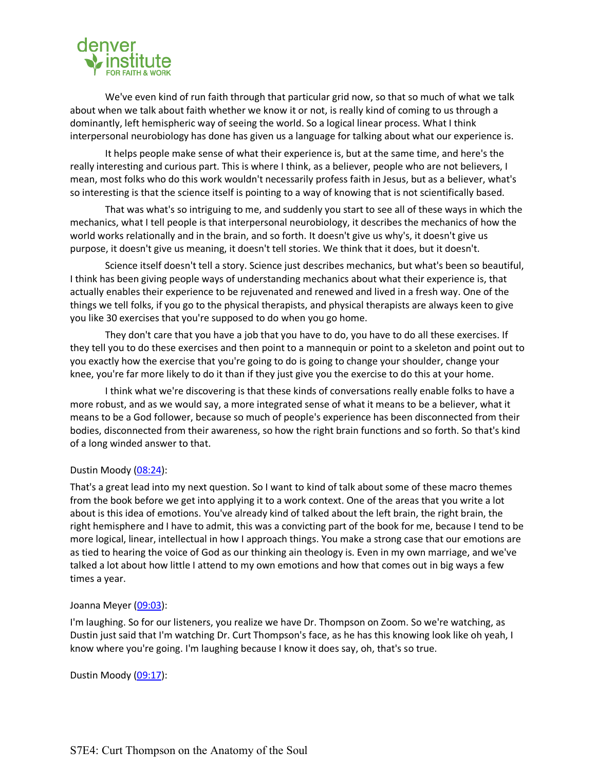

We've even kind of run faith through that particular grid now, so that so much of what we talk about when we talk about faith whether we know it or not, is really kind of coming to us through a dominantly, left hemispheric way of seeing the world. So a logical linear process. What I think interpersonal neurobiology has done has given us a language for talking about what our experience is.

It helps people make sense of what their experience is, but at the same time, and here's the really interesting and curious part. This is where I think, as a believer, people who are not believers, I mean, most folks who do this work wouldn't necessarily profess faith in Jesus, but as a believer, what's so interesting is that the science itself is pointing to a way of knowing that is not scientifically based.

That was what's so intriguing to me, and suddenly you start to see all of these ways in which the mechanics, what I tell people is that interpersonal neurobiology, it describes the mechanics of how the world works relationally and in the brain, and so forth. It doesn't give us why's, it doesn't give us purpose, it doesn't give us meaning, it doesn't tell stories. We think that it does, but it doesn't.

Science itself doesn't tell a story. Science just describes mechanics, but what's been so beautiful, I think has been giving people ways of understanding mechanics about what their experience is, that actually enables their experience to be rejuvenated and renewed and lived in a fresh way. One of the things we tell folks, if you go to the physical therapists, and physical therapists are always keen to give you like 30 exercises that you're supposed to do when you go home.

They don't care that you have a job that you have to do, you have to do all these exercises. If they tell you to do these exercises and then point to a mannequin or point to a skeleton and point out to you exactly how the exercise that you're going to do is going to change your shoulder, change your knee, you're far more likely to do it than if they just give you the exercise to do this at your home.

I think what we're discovering is that these kinds of conversations really enable folks to have a more robust, and as we would say, a more integrated sense of what it means to be a believer, what it means to be a God follower, because so much of people's experience has been disconnected from their bodies, disconnected from their awareness, so how the right brain functions and so forth. So that's kind of a long winded answer to that.

### Dustin Moody (08:24):

That's a great lead into my next question. So I want to kind of talk about some of these macro themes from the book before we get into applying it to a work context. One of the areas that you write a lot about is this idea of emotions. You've already kind of talked about the left brain, the right brain, the right hemisphere and I have to admit, this was a convicting part of the book for me, because I tend to be more logical, linear, intellectual in how I approach things. You make a strong case that our emotions are as tied to hearing the voice of God as our thinking ain theology is. Even in my own marriage, and we've talked a lot about how little I attend to my own emotions and how that comes out in big ways a few times a year.

### Joanna Meyer (09:03):

I'm laughing. So for our listeners, you realize we have Dr. Thompson on Zoom. So we're watching, as Dustin just said that I'm watching Dr. Curt Thompson's face, as he has this knowing look like oh yeah, I know where you're going. I'm laughing because I know it does say, oh, that's so true.

### Dustin Moody (09:17):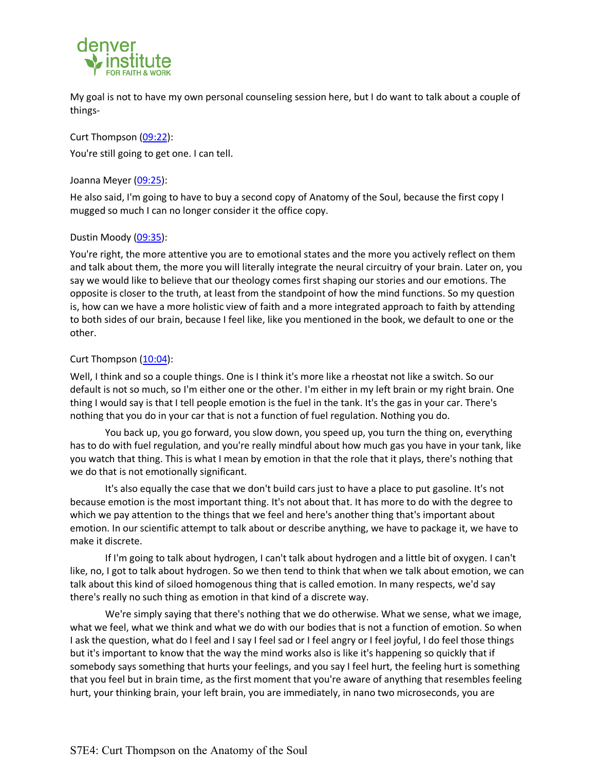

My goal is not to have my own personal counseling session here, but I do want to talk about a couple of things-

Curt Thompson (09:22): You're still going to get one. I can tell.

Joanna Meyer (09:25):

He also said, I'm going to have to buy a second copy of Anatomy of the Soul, because the first copy I mugged so much I can no longer consider it the office copy.

# Dustin Moody (09:35):

You're right, the more attentive you are to emotional states and the more you actively reflect on them and talk about them, the more you will literally integrate the neural circuitry of your brain. Later on, you say we would like to believe that our theology comes first shaping our stories and our emotions. The opposite is closer to the truth, at least from the standpoint of how the mind functions. So my question is, how can we have a more holistic view of faith and a more integrated approach to faith by attending to both sides of our brain, because I feel like, like you mentioned in the book, we default to one or the other.

# Curt Thompson (10:04):

Well, I think and so a couple things. One is I think it's more like a rheostat not like a switch. So our default is not so much, so I'm either one or the other. I'm either in my left brain or my right brain. One thing I would say is that I tell people emotion is the fuel in the tank. It's the gas in your car. There's nothing that you do in your car that is not a function of fuel regulation. Nothing you do.

You back up, you go forward, you slow down, you speed up, you turn the thing on, everything has to do with fuel regulation, and you're really mindful about how much gas you have in your tank, like you watch that thing. This is what I mean by emotion in that the role that it plays, there's nothing that we do that is not emotionally significant.

It's also equally the case that we don't build cars just to have a place to put gasoline. It's not because emotion is the most important thing. It's not about that. It has more to do with the degree to which we pay attention to the things that we feel and here's another thing that's important about emotion. In our scientific attempt to talk about or describe anything, we have to package it, we have to make it discrete.

If I'm going to talk about hydrogen, I can't talk about hydrogen and a little bit of oxygen. I can't like, no, I got to talk about hydrogen. So we then tend to think that when we talk about emotion, we can talk about this kind of siloed homogenous thing that is called emotion. In many respects, we'd say there's really no such thing as emotion in that kind of a discrete way.

We're simply saying that there's nothing that we do otherwise. What we sense, what we image, what we feel, what we think and what we do with our bodies that is not a function of emotion. So when I ask the question, what do I feel and I say I feel sad or I feel angry or I feel joyful, I do feel those things but it's important to know that the way the mind works also is like it's happening so quickly that if somebody says something that hurts your feelings, and you say I feel hurt, the feeling hurt is something that you feel but in brain time, as the first moment that you're aware of anything that resembles feeling hurt, your thinking brain, your left brain, you are immediately, in nano two microseconds, you are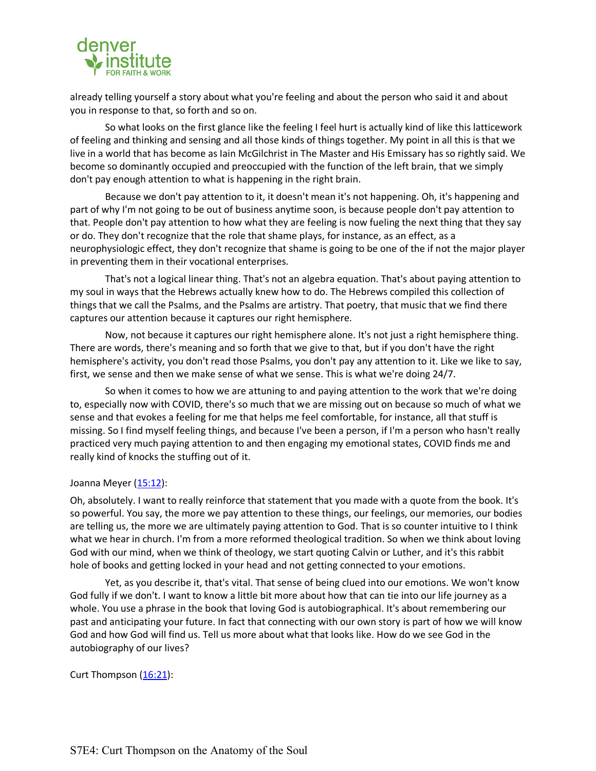

already telling yourself a story about what you're feeling and about the person who said it and about you in response to that, so forth and so on.

So what looks on the first glance like the feeling I feel hurt is actually kind of like this latticework of feeling and thinking and sensing and all those kinds of things together. My point in all this is that we live in a world that has become as Iain McGilchrist in The Master and His Emissary has so rightly said. We become so dominantly occupied and preoccupied with the function of the left brain, that we simply don't pay enough attention to what is happening in the right brain.

Because we don't pay attention to it, it doesn't mean it's not happening. Oh, it's happening and part of why I'm not going to be out of business anytime soon, is because people don't pay attention to that. People don't pay attention to how what they are feeling is now fueling the next thing that they say or do. They don't recognize that the role that shame plays, for instance, as an effect, as a neurophysiologic effect, they don't recognize that shame is going to be one of the if not the major player in preventing them in their vocational enterprises.

That's not a logical linear thing. That's not an algebra equation. That's about paying attention to my soul in ways that the Hebrews actually knew how to do. The Hebrews compiled this collection of things that we call the Psalms, and the Psalms are artistry. That poetry, that music that we find there captures our attention because it captures our right hemisphere.

Now, not because it captures our right hemisphere alone. It's not just a right hemisphere thing. There are words, there's meaning and so forth that we give to that, but if you don't have the right hemisphere's activity, you don't read those Psalms, you don't pay any attention to it. Like we like to say, first, we sense and then we make sense of what we sense. This is what we're doing 24/7.

So when it comes to how we are attuning to and paying attention to the work that we're doing to, especially now with COVID, there's so much that we are missing out on because so much of what we sense and that evokes a feeling for me that helps me feel comfortable, for instance, all that stuff is missing. So I find myself feeling things, and because I've been a person, if I'm a person who hasn't really practiced very much paying attention to and then engaging my emotional states, COVID finds me and really kind of knocks the stuffing out of it.

### Joanna Meyer (15:12):

Oh, absolutely. I want to really reinforce that statement that you made with a quote from the book. It's so powerful. You say, the more we pay attention to these things, our feelings, our memories, our bodies are telling us, the more we are ultimately paying attention to God. That is so counter intuitive to I think what we hear in church. I'm from a more reformed theological tradition. So when we think about loving God with our mind, when we think of theology, we start quoting Calvin or Luther, and it's this rabbit hole of books and getting locked in your head and not getting connected to your emotions.

Yet, as you describe it, that's vital. That sense of being clued into our emotions. We won't know God fully if we don't. I want to know a little bit more about how that can tie into our life journey as a whole. You use a phrase in the book that loving God is autobiographical. It's about remembering our past and anticipating your future. In fact that connecting with our own story is part of how we will know God and how God will find us. Tell us more about what that looks like. How do we see God in the autobiography of our lives?

### Curt Thompson  $(16:21)$ :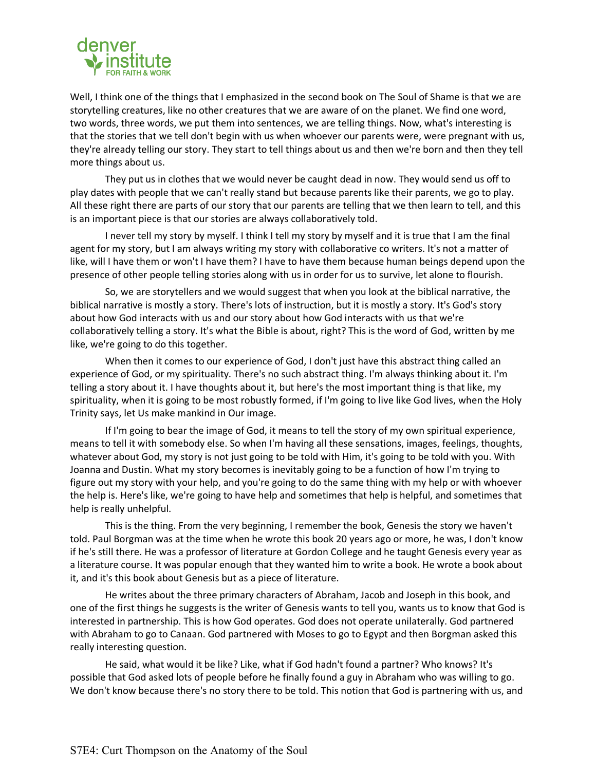

Well, I think one of the things that I emphasized in the second book on The Soul of Shame is that we are storytelling creatures, like no other creatures that we are aware of on the planet. We find one word, two words, three words, we put them into sentences, we are telling things. Now, what's interesting is that the stories that we tell don't begin with us when whoever our parents were, were pregnant with us, they're already telling our story. They start to tell things about us and then we're born and then they tell more things about us.

They put us in clothes that we would never be caught dead in now. They would send us off to play dates with people that we can't really stand but because parents like their parents, we go to play. All these right there are parts of our story that our parents are telling that we then learn to tell, and this is an important piece is that our stories are always collaboratively told.

I never tell my story by myself. I think I tell my story by myself and it is true that I am the final agent for my story, but I am always writing my story with collaborative co writers. It's not a matter of like, will I have them or won't I have them? I have to have them because human beings depend upon the presence of other people telling stories along with us in order for us to survive, let alone to flourish.

So, we are storytellers and we would suggest that when you look at the biblical narrative, the biblical narrative is mostly a story. There's lots of instruction, but it is mostly a story. It's God's story about how God interacts with us and our story about how God interacts with us that we're collaboratively telling a story. It's what the Bible is about, right? This is the word of God, written by me like, we're going to do this together.

When then it comes to our experience of God, I don't just have this abstract thing called an experience of God, or my spirituality. There's no such abstract thing. I'm always thinking about it. I'm telling a story about it. I have thoughts about it, but here's the most important thing is that like, my spirituality, when it is going to be most robustly formed, if I'm going to live like God lives, when the Holy Trinity says, let Us make mankind in Our image.

If I'm going to bear the image of God, it means to tell the story of my own spiritual experience, means to tell it with somebody else. So when I'm having all these sensations, images, feelings, thoughts, whatever about God, my story is not just going to be told with Him, it's going to be told with you. With Joanna and Dustin. What my story becomes is inevitably going to be a function of how I'm trying to figure out my story with your help, and you're going to do the same thing with my help or with whoever the help is. Here's like, we're going to have help and sometimes that help is helpful, and sometimes that help is really unhelpful.

This is the thing. From the very beginning, I remember the book, Genesis the story we haven't told. Paul Borgman was at the time when he wrote this book 20 years ago or more, he was, I don't know if he's still there. He was a professor of literature at Gordon College and he taught Genesis every year as a literature course. It was popular enough that they wanted him to write a book. He wrote a book about it, and it's this book about Genesis but as a piece of literature.

He writes about the three primary characters of Abraham, Jacob and Joseph in this book, and one of the first things he suggests is the writer of Genesis wants to tell you, wants us to know that God is interested in partnership. This is how God operates. God does not operate unilaterally. God partnered with Abraham to go to Canaan. God partnered with Moses to go to Egypt and then Borgman asked this really interesting question.

He said, what would it be like? Like, what if God hadn't found a partner? Who knows? It's possible that God asked lots of people before he finally found a guy in Abraham who was willing to go. We don't know because there's no story there to be told. This notion that God is partnering with us, and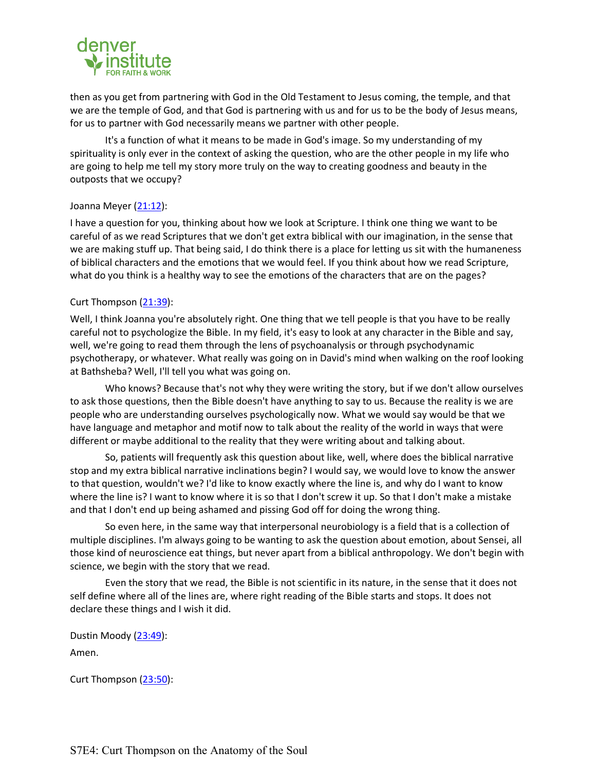

then as you get from partnering with God in the Old Testament to Jesus coming, the temple, and that we are the temple of God, and that God is partnering with us and for us to be the body of Jesus means, for us to partner with God necessarily means we partner with other people.

It's a function of what it means to be made in God's image. So my understanding of my spirituality is only ever in the context of asking the question, who are the other people in my life who are going to help me tell my story more truly on the way to creating goodness and beauty in the outposts that we occupy?

### Joanna Meyer (21:12):

I have a question for you, thinking about how we look at Scripture. I think one thing we want to be careful of as we read Scriptures that we don't get extra biblical with our imagination, in the sense that we are making stuff up. That being said, I do think there is a place for letting us sit with the humaneness of biblical characters and the emotions that we would feel. If you think about how we read Scripture, what do you think is a healthy way to see the emotions of the characters that are on the pages?

### Curt Thompson (21:39):

Well, I think Joanna you're absolutely right. One thing that we tell people is that you have to be really careful not to psychologize the Bible. In my field, it's easy to look at any character in the Bible and say, well, we're going to read them through the lens of psychoanalysis or through psychodynamic psychotherapy, or whatever. What really was going on in David's mind when walking on the roof looking at Bathsheba? Well, I'll tell you what was going on.

Who knows? Because that's not why they were writing the story, but if we don't allow ourselves to ask those questions, then the Bible doesn't have anything to say to us. Because the reality is we are people who are understanding ourselves psychologically now. What we would say would be that we have language and metaphor and motif now to talk about the reality of the world in ways that were different or maybe additional to the reality that they were writing about and talking about.

So, patients will frequently ask this question about like, well, where does the biblical narrative stop and my extra biblical narrative inclinations begin? I would say, we would love to know the answer to that question, wouldn't we? I'd like to know exactly where the line is, and why do I want to know where the line is? I want to know where it is so that I don't screw it up. So that I don't make a mistake and that I don't end up being ashamed and pissing God off for doing the wrong thing.

So even here, in the same way that interpersonal neurobiology is a field that is a collection of multiple disciplines. I'm always going to be wanting to ask the question about emotion, about Sensei, all those kind of neuroscience eat things, but never apart from a biblical anthropology. We don't begin with science, we begin with the story that we read.

Even the story that we read, the Bible is not scientific in its nature, in the sense that it does not self define where all of the lines are, where right reading of the Bible starts and stops. It does not declare these things and I wish it did.

Dustin Moody (23:49): Amen.

Curt Thompson (23:50):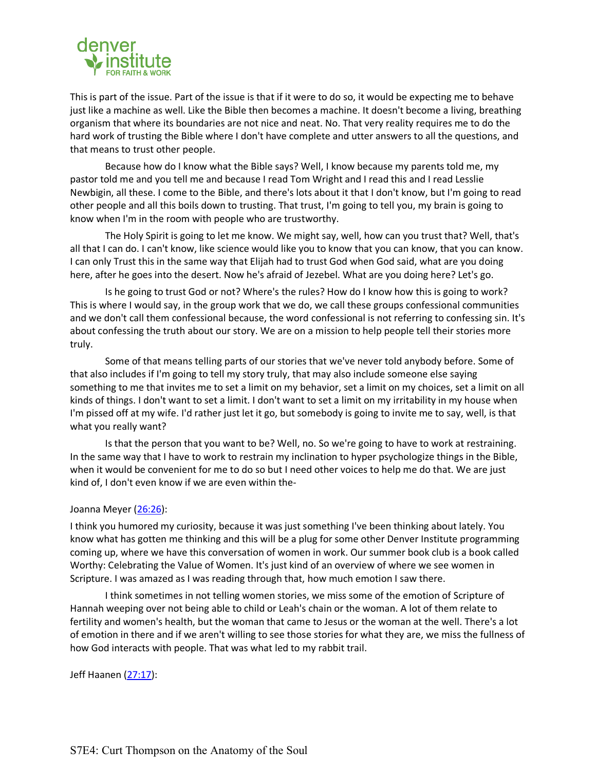

This is part of the issue. Part of the issue is that if it were to do so, it would be expecting me to behave just like a machine as well. Like the Bible then becomes a machine. It doesn't become a living, breathing organism that where its boundaries are not nice and neat. No. That very reality requires me to do the hard work of trusting the Bible where I don't have complete and utter answers to all the questions, and that means to trust other people.

Because how do I know what the Bible says? Well, I know because my parents told me, my pastor told me and you tell me and because I read Tom Wright and I read this and I read Lesslie Newbigin, all these. I come to the Bible, and there's lots about it that I don't know, but I'm going to read other people and all this boils down to trusting. That trust, I'm going to tell you, my brain is going to know when I'm in the room with people who are trustworthy.

The Holy Spirit is going to let me know. We might say, well, how can you trust that? Well, that's all that I can do. I can't know, like science would like you to know that you can know, that you can know. I can only Trust this in the same way that Elijah had to trust God when God said, what are you doing here, after he goes into the desert. Now he's afraid of Jezebel. What are you doing here? Let's go.

Is he going to trust God or not? Where's the rules? How do I know how this is going to work? This is where I would say, in the group work that we do, we call these groups confessional communities and we don't call them confessional because, the word confessional is not referring to confessing sin. It's about confessing the truth about our story. We are on a mission to help people tell their stories more truly.

Some of that means telling parts of our stories that we've never told anybody before. Some of that also includes if I'm going to tell my story truly, that may also include someone else saying something to me that invites me to set a limit on my behavior, set a limit on my choices, set a limit on all kinds of things. I don't want to set a limit. I don't want to set a limit on my irritability in my house when I'm pissed off at my wife. I'd rather just let it go, but somebody is going to invite me to say, well, is that what you really want?

Is that the person that you want to be? Well, no. So we're going to have to work at restraining. In the same way that I have to work to restrain my inclination to hyper psychologize things in the Bible, when it would be convenient for me to do so but I need other voices to help me do that. We are just kind of, I don't even know if we are even within the-

### Joanna Meyer (26:26):

I think you humored my curiosity, because it was just something I've been thinking about lately. You know what has gotten me thinking and this will be a plug for some other Denver Institute programming coming up, where we have this conversation of women in work. Our summer book club is a book called Worthy: Celebrating the Value of Women. It's just kind of an overview of where we see women in Scripture. I was amazed as I was reading through that, how much emotion I saw there.

I think sometimes in not telling women stories, we miss some of the emotion of Scripture of Hannah weeping over not being able to child or Leah's chain or the woman. A lot of them relate to fertility and women's health, but the woman that came to Jesus or the woman at the well. There's a lot of emotion in there and if we aren't willing to see those stories for what they are, we miss the fullness of how God interacts with people. That was what led to my rabbit trail.

### Jeff Haanen (27:17):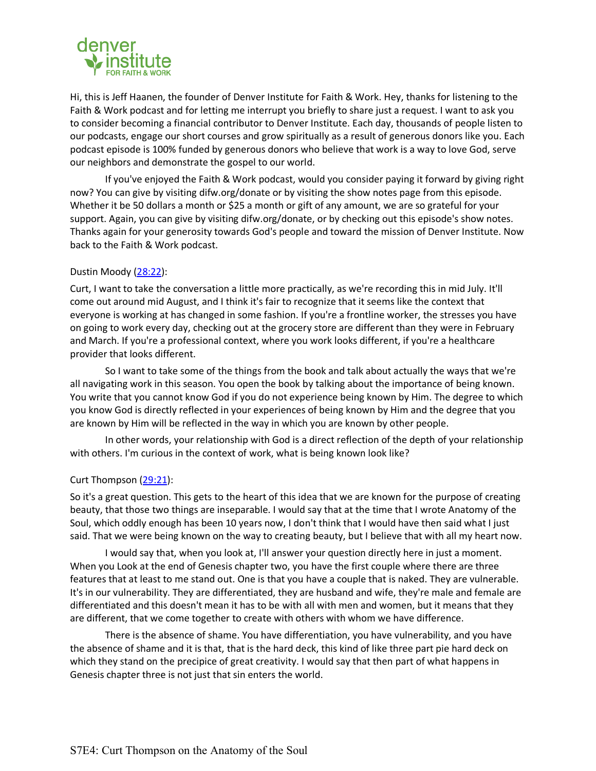

Hi, this is Jeff Haanen, the founder of Denver Institute for Faith & Work. Hey, thanks for listening to the Faith & Work podcast and for letting me interrupt you briefly to share just a request. I want to ask you to consider becoming a financial contributor to Denver Institute. Each day, thousands of people listen to our podcasts, engage our short courses and grow spiritually as a result of generous donors like you. Each podcast episode is 100% funded by generous donors who believe that work is a way to love God, serve our neighbors and demonstrate the gospel to our world.

If you've enjoyed the Faith & Work podcast, would you consider paying it forward by giving right now? You can give by visiting difw.org/donate or by visiting the show notes page from this episode. Whether it be 50 dollars a month or \$25 a month or gift of any amount, we are so grateful for your support. Again, you can give by visiting difw.org/donate, or by checking out this episode's show notes. Thanks again for your generosity towards God's people and toward the mission of Denver Institute. Now back to the Faith & Work podcast.

# Dustin Moody (28:22):

Curt, I want to take the conversation a little more practically, as we're recording this in mid July. It'll come out around mid August, and I think it's fair to recognize that it seems like the context that everyone is working at has changed in some fashion. If you're a frontline worker, the stresses you have on going to work every day, checking out at the grocery store are different than they were in February and March. If you're a professional context, where you work looks different, if you're a healthcare provider that looks different.

So I want to take some of the things from the book and talk about actually the ways that we're all navigating work in this season. You open the book by talking about the importance of being known. You write that you cannot know God if you do not experience being known by Him. The degree to which you know God is directly reflected in your experiences of being known by Him and the degree that you are known by Him will be reflected in the way in which you are known by other people.

In other words, your relationship with God is a direct reflection of the depth of your relationship with others. I'm curious in the context of work, what is being known look like?

### Curt Thompson (29:21):

So it's a great question. This gets to the heart of this idea that we are known for the purpose of creating beauty, that those two things are inseparable. I would say that at the time that I wrote Anatomy of the Soul, which oddly enough has been 10 years now, I don't think that I would have then said what I just said. That we were being known on the way to creating beauty, but I believe that with all my heart now.

I would say that, when you look at, I'll answer your question directly here in just a moment. When you Look at the end of Genesis chapter two, you have the first couple where there are three features that at least to me stand out. One is that you have a couple that is naked. They are vulnerable. It's in our vulnerability. They are differentiated, they are husband and wife, they're male and female are differentiated and this doesn't mean it has to be with all with men and women, but it means that they are different, that we come together to create with others with whom we have difference.

There is the absence of shame. You have differentiation, you have vulnerability, and you have the absence of shame and it is that, that is the hard deck, this kind of like three part pie hard deck on which they stand on the precipice of great creativity. I would say that then part of what happens in Genesis chapter three is not just that sin enters the world.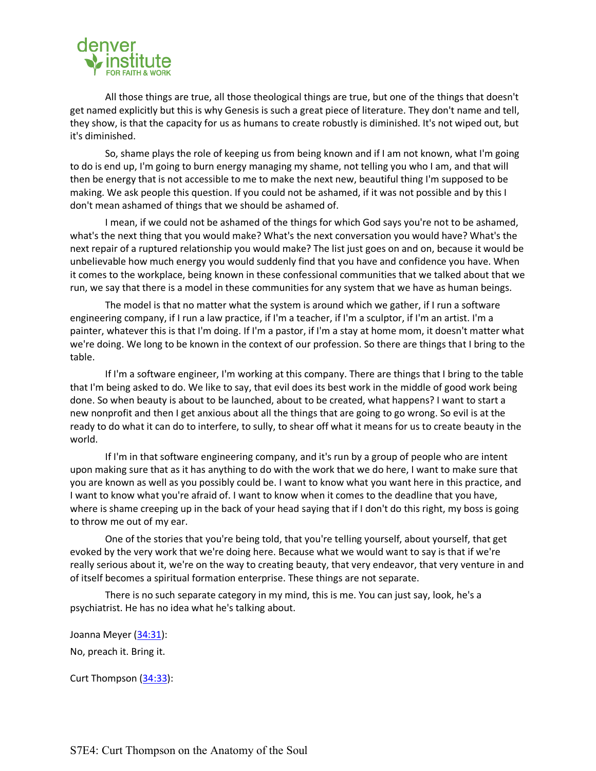

All those things are true, all those theological things are true, but one of the things that doesn't get named explicitly but this is why Genesis is such a great piece of literature. They don't name and tell, they show, is that the capacity for us as humans to create robustly is diminished. It's not wiped out, but it's diminished.

So, shame plays the role of keeping us from being known and if I am not known, what I'm going to do is end up, I'm going to burn energy managing my shame, not telling you who I am, and that will then be energy that is not accessible to me to make the next new, beautiful thing I'm supposed to be making. We ask people this question. If you could not be ashamed, if it was not possible and by this I don't mean ashamed of things that we should be ashamed of.

I mean, if we could not be ashamed of the things for which God says you're not to be ashamed, what's the next thing that you would make? What's the next conversation you would have? What's the next repair of a ruptured relationship you would make? The list just goes on and on, because it would be unbelievable how much energy you would suddenly find that you have and confidence you have. When it comes to the workplace, being known in these confessional communities that we talked about that we run, we say that there is a model in these communities for any system that we have as human beings.

The model is that no matter what the system is around which we gather, if I run a software engineering company, if I run a law practice, if I'm a teacher, if I'm a sculptor, if I'm an artist. I'm a painter, whatever this is that I'm doing. If I'm a pastor, if I'm a stay at home mom, it doesn't matter what we're doing. We long to be known in the context of our profession. So there are things that I bring to the table.

If I'm a software engineer, I'm working at this company. There are things that I bring to the table that I'm being asked to do. We like to say, that evil does its best work in the middle of good work being done. So when beauty is about to be launched, about to be created, what happens? I want to start a new nonprofit and then I get anxious about all the things that are going to go wrong. So evil is at the ready to do what it can do to interfere, to sully, to shear off what it means for us to create beauty in the world.

If I'm in that software engineering company, and it's run by a group of people who are intent upon making sure that as it has anything to do with the work that we do here, I want to make sure that you are known as well as you possibly could be. I want to know what you want here in this practice, and I want to know what you're afraid of. I want to know when it comes to the deadline that you have, where is shame creeping up in the back of your head saying that if I don't do this right, my boss is going to throw me out of my ear.

One of the stories that you're being told, that you're telling yourself, about yourself, that get evoked by the very work that we're doing here. Because what we would want to say is that if we're really serious about it, we're on the way to creating beauty, that very endeavor, that very venture in and of itself becomes a spiritual formation enterprise. These things are not separate.

There is no such separate category in my mind, this is me. You can just say, look, he's a psychiatrist. He has no idea what he's talking about.

Joanna Meyer (34:31): No, preach it. Bring it.

Curt Thompson (34:33):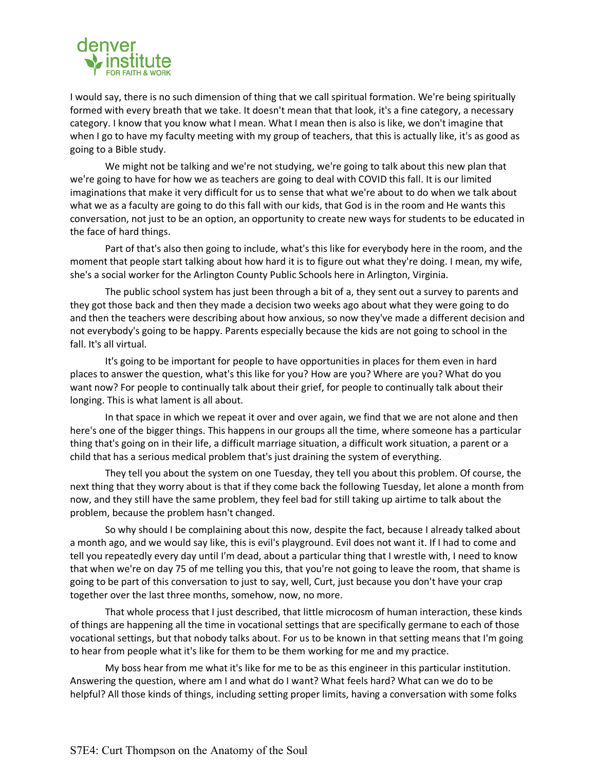

I would say, there is no such dimension of thing that we call spiritual formation. We're being spiritually formed with every breath that we take. It doesn't mean that that look, it's a fine category, a necessary category. I know that you know what I mean. What I mean then is also is like, we don't imagine that when I go to have my faculty meeting with my group of teachers, that this is actually like, it's as good as going to a Bible study.

We might not be talking and we're not studying, we're going to talk about this new plan that we're going to have for how we as teachers are going to deal with COVID this fall. It is our limited imaginations that make it very difficult for us to sense that what we're about to do when we talk about what we as a faculty are going to do this fall with our kids, that God is in the room and He wants this conversation, not just to be an option, an opportunity to create new ways for students to be educated in the face of hard things.

Part of that's also then going to include, what's this like for everybody here in the room, and the moment that people start talking about how hard it is to figure out what they're doing. I mean, my wife, she's a social worker for the Arlington County Public Schools here in Arlington, Virginia.

The public school system has just been through a bit of a, they sent out a survey to parents and they got those back and then they made a decision two weeks ago about what they were going to do and then the teachers were describing about how anxious, so now they've made a different decision and not everybody's going to be happy. Parents especially because the kids are not going to school in the fall. It's all virtual.

It's going to be important for people to have opportunities in places for them even in hard places to answer the question, what's this like for you? How are you? Where are you? What do you want now? For people to continually talk about their grief, for people to continually talk about their longing. This is what lament is all about.

In that space in which we repeat it over and over again, we find that we are not alone and then here's one of the bigger things. This happens in our groups all the time, where someone has a particular thing that's going on in their life, a difficult marriage situation, a difficult work situation, a parent or a child that has a serious medical problem that's just draining the system of everything.

They tell you about the system on one Tuesday, they tell you about this problem. Of course, the next thing that they worry about is that if they come back the following Tuesday, let alone a month from now, and they still have the same problem, they feel bad for still taking up airtime to talk about the problem, because the problem hasn't changed.

So why should I be complaining about this now, despite the fact, because I already talked about a month ago, and we would say like, this is evil's playground. Evil does not want it. If I had to come and tell you repeatedly every day until I'm dead, about a particular thing that I wrestle with, I need to know that when we're on day 75 of me telling you this, that you're not going to leave the room, that shame is going to be part of this conversation to just to say, well, Curt, just because you don't have your crap together over the last three months, somehow, now, no more.

That whole process that I just described, that little microcosm of human interaction, these kinds of things are happening all the time in vocational settings that are specifically germane to each of those vocational settings, but that nobody talks about. For us to be known in that setting means that I'm going to hear from people what it's like for them to be them working for me and my practice.

My boss hear from me what it's like for me to be as this engineer in this particular institution. Answering the question, where am I and what do I want? What feels hard? What can we do to be helpful? All those kinds of things, including setting proper limits, having a conversation with some folks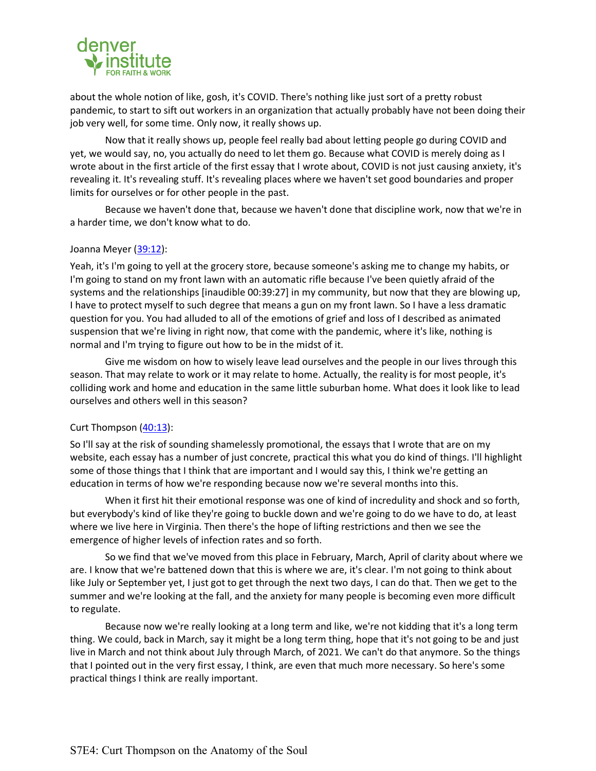

about the whole notion of like, gosh, it's COVID. There's nothing like just sort of a pretty robust pandemic, to start to sift out workers in an organization that actually probably have not been doing their job very well, for some time. Only now, it really shows up.

Now that it really shows up, people feel really bad about letting people go during COVID and yet, we would say, no, you actually do need to let them go. Because what COVID is merely doing as I wrote about in the first article of the first essay that I wrote about, COVID is not just causing anxiety, it's revealing it. It's revealing stuff. It's revealing places where we haven't set good boundaries and proper limits for ourselves or for other people in the past.

Because we haven't done that, because we haven't done that discipline work, now that we're in a harder time, we don't know what to do.

#### Joanna Meyer (39:12):

Yeah, it's I'm going to yell at the grocery store, because someone's asking me to change my habits, or I'm going to stand on my front lawn with an automatic rifle because I've been quietly afraid of the systems and the relationships [inaudible 00:39:27] in my community, but now that they are blowing up, I have to protect myself to such degree that means a gun on my front lawn. So I have a less dramatic question for you. You had alluded to all of the emotions of grief and loss of I described as animated suspension that we're living in right now, that come with the pandemic, where it's like, nothing is normal and I'm trying to figure out how to be in the midst of it.

Give me wisdom on how to wisely leave lead ourselves and the people in our lives through this season. That may relate to work or it may relate to home. Actually, the reality is for most people, it's colliding work and home and education in the same little suburban home. What does it look like to lead ourselves and others well in this season?

### Curt Thompson (40:13):

So I'll say at the risk of sounding shamelessly promotional, the essays that I wrote that are on my website, each essay has a number of just concrete, practical this what you do kind of things. I'll highlight some of those things that I think that are important and I would say this, I think we're getting an education in terms of how we're responding because now we're several months into this.

When it first hit their emotional response was one of kind of incredulity and shock and so forth, but everybody's kind of like they're going to buckle down and we're going to do we have to do, at least where we live here in Virginia. Then there's the hope of lifting restrictions and then we see the emergence of higher levels of infection rates and so forth.

So we find that we've moved from this place in February, March, April of clarity about where we are. I know that we're battened down that this is where we are, it's clear. I'm not going to think about like July or September yet, I just got to get through the next two days, I can do that. Then we get to the summer and we're looking at the fall, and the anxiety for many people is becoming even more difficult to regulate.

Because now we're really looking at a long term and like, we're not kidding that it's a long term thing. We could, back in March, say it might be a long term thing, hope that it's not going to be and just live in March and not think about July through March, of 2021. We can't do that anymore. So the things that I pointed out in the very first essay, I think, are even that much more necessary. So here's some practical things I think are really important.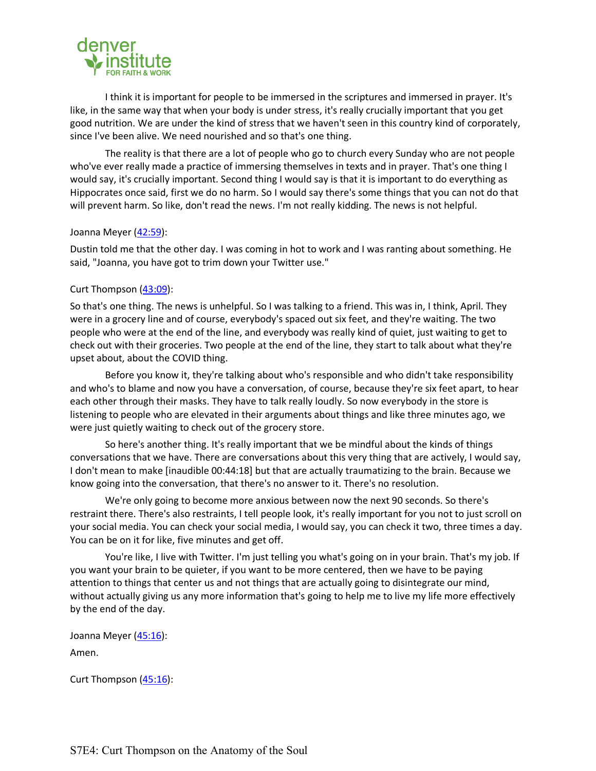

I think it is important for people to be immersed in the scriptures and immersed in prayer. It's like, in the same way that when your body is under stress, it's really crucially important that you get good nutrition. We are under the kind of stress that we haven't seen in this country kind of corporately, since I've been alive. We need nourished and so that's one thing.

The reality is that there are a lot of people who go to church every Sunday who are not people who've ever really made a practice of immersing themselves in texts and in prayer. That's one thing I would say, it's crucially important. Second thing I would say is that it is important to do everything as Hippocrates once said, first we do no harm. So I would say there's some things that you can not do that will prevent harm. So like, don't read the news. I'm not really kidding. The news is not helpful.

### Joanna Meyer (42:59):

Dustin told me that the other day. I was coming in hot to work and I was ranting about something. He said, "Joanna, you have got to trim down your Twitter use."

### Curt Thompson (43:09):

So that's one thing. The news is unhelpful. So I was talking to a friend. This was in, I think, April. They were in a grocery line and of course, everybody's spaced out six feet, and they're waiting. The two people who were at the end of the line, and everybody was really kind of quiet, just waiting to get to check out with their groceries. Two people at the end of the line, they start to talk about what they're upset about, about the COVID thing.

Before you know it, they're talking about who's responsible and who didn't take responsibility and who's to blame and now you have a conversation, of course, because they're six feet apart, to hear each other through their masks. They have to talk really loudly. So now everybody in the store is listening to people who are elevated in their arguments about things and like three minutes ago, we were just quietly waiting to check out of the grocery store.

So here's another thing. It's really important that we be mindful about the kinds of things conversations that we have. There are conversations about this very thing that are actively, I would say, I don't mean to make [inaudible 00:44:18] but that are actually traumatizing to the brain. Because we know going into the conversation, that there's no answer to it. There's no resolution.

We're only going to become more anxious between now the next 90 seconds. So there's restraint there. There's also restraints, I tell people look, it's really important for you not to just scroll on your social media. You can check your social media, I would say, you can check it two, three times a day. You can be on it for like, five minutes and get off.

You're like, I live with Twitter. I'm just telling you what's going on in your brain. That's my job. If you want your brain to be quieter, if you want to be more centered, then we have to be paying attention to things that center us and not things that are actually going to disintegrate our mind, without actually giving us any more information that's going to help me to live my life more effectively by the end of the day.

Joanna Meyer (45:16): Amen.

Curt Thompson (45:16):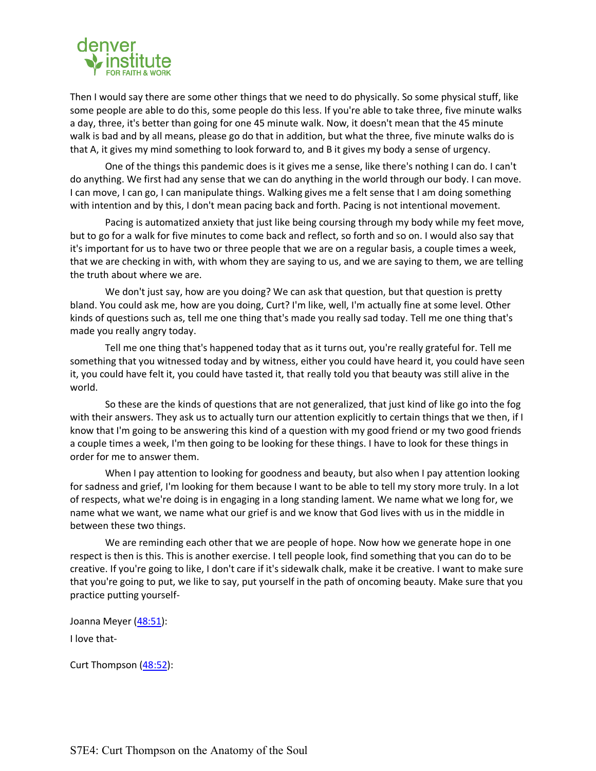

Then I would say there are some other things that we need to do physically. So some physical stuff, like some people are able to do this, some people do this less. If you're able to take three, five minute walks a day, three, it's better than going for one 45 minute walk. Now, it doesn't mean that the 45 minute walk is bad and by all means, please go do that in addition, but what the three, five minute walks do is that A, it gives my mind something to look forward to, and B it gives my body a sense of urgency.

One of the things this pandemic does is it gives me a sense, like there's nothing I can do. I can't do anything. We first had any sense that we can do anything in the world through our body. I can move. I can move, I can go, I can manipulate things. Walking gives me a felt sense that I am doing something with intention and by this, I don't mean pacing back and forth. Pacing is not intentional movement.

Pacing is automatized anxiety that just like being coursing through my body while my feet move, but to go for a walk for five minutes to come back and reflect, so forth and so on. I would also say that it's important for us to have two or three people that we are on a regular basis, a couple times a week, that we are checking in with, with whom they are saying to us, and we are saying to them, we are telling the truth about where we are.

We don't just say, how are you doing? We can ask that question, but that question is pretty bland. You could ask me, how are you doing, Curt? I'm like, well, I'm actually fine at some level. Other kinds of questions such as, tell me one thing that's made you really sad today. Tell me one thing that's made you really angry today.

Tell me one thing that's happened today that as it turns out, you're really grateful for. Tell me something that you witnessed today and by witness, either you could have heard it, you could have seen it, you could have felt it, you could have tasted it, that really told you that beauty was still alive in the world.

So these are the kinds of questions that are not generalized, that just kind of like go into the fog with their answers. They ask us to actually turn our attention explicitly to certain things that we then, if I know that I'm going to be answering this kind of a question with my good friend or my two good friends a couple times a week, I'm then going to be looking for these things. I have to look for these things in order for me to answer them.

When I pay attention to looking for goodness and beauty, but also when I pay attention looking for sadness and grief, I'm looking for them because I want to be able to tell my story more truly. In a lot of respects, what we're doing is in engaging in a long standing lament. We name what we long for, we name what we want, we name what our grief is and we know that God lives with us in the middle in between these two things.

We are reminding each other that we are people of hope. Now how we generate hope in one respect is then is this. This is another exercise. I tell people look, find something that you can do to be creative. If you're going to like, I don't care if it's sidewalk chalk, make it be creative. I want to make sure that you're going to put, we like to say, put yourself in the path of oncoming beauty. Make sure that you practice putting yourself-

Joanna Meyer (48:51):

I love that-

Curt Thompson (48:52):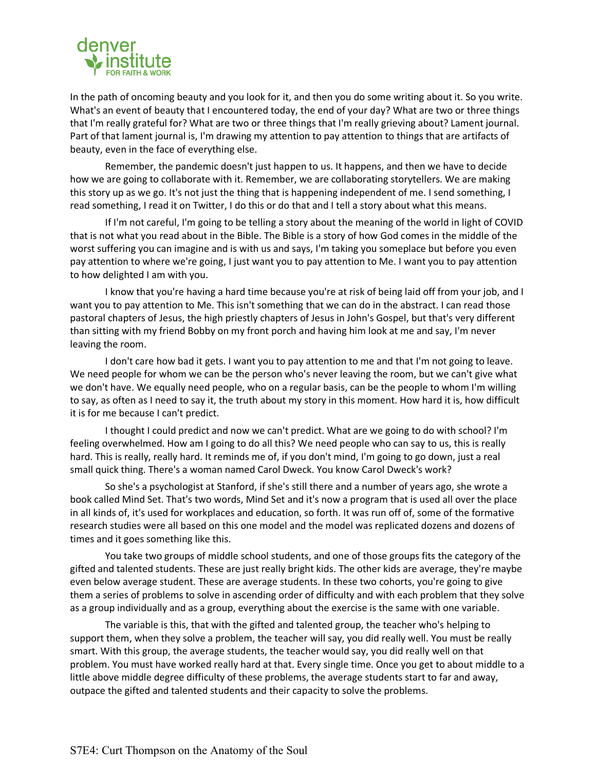

In the path of oncoming beauty and you look for it, and then you do some writing about it. So you write. What's an event of beauty that I encountered today, the end of your day? What are two or three things that I'm really grateful for? What are two or three things that I'm really grieving about? Lament journal. Part of that lament journal is, I'm drawing my attention to pay attention to things that are artifacts of beauty, even in the face of everything else.

Remember, the pandemic doesn't just happen to us. It happens, and then we have to decide how we are going to collaborate with it. Remember, we are collaborating storytellers. We are making this story up as we go. It's not just the thing that is happening independent of me. I send something, I read something, I read it on Twitter, I do this or do that and I tell a story about what this means.

If I'm not careful, I'm going to be telling a story about the meaning of the world in light of COVID that is not what you read about in the Bible. The Bible is a story of how God comes in the middle of the worst suffering you can imagine and is with us and says, I'm taking you someplace but before you even pay attention to where we're going, I just want you to pay attention to Me. I want you to pay attention to how delighted I am with you.

I know that you're having a hard time because you're at risk of being laid off from your job, and I want you to pay attention to Me. This isn't something that we can do in the abstract. I can read those pastoral chapters of Jesus, the high priestly chapters of Jesus in John's Gospel, but that's very different than sitting with my friend Bobby on my front porch and having him look at me and say, I'm never leaving the room.

I don't care how bad it gets. I want you to pay attention to me and that I'm not going to leave. We need people for whom we can be the person who's never leaving the room, but we can't give what we don't have. We equally need people, who on a regular basis, can be the people to whom I'm willing to say, as often as I need to say it, the truth about my story in this moment. How hard it is, how difficult it is for me because I can't predict.

I thought I could predict and now we can't predict. What are we going to do with school? I'm feeling overwhelmed. How am I going to do all this? We need people who can say to us, this is really hard. This is really, really hard. It reminds me of, if you don't mind, I'm going to go down, just a real small quick thing. There's a woman named Carol Dweck. You know Carol Dweck's work?

So she's a psychologist at Stanford, if she's still there and a number of years ago, she wrote a book called Mind Set. That's two words, Mind Set and it's now a program that is used all over the place in all kinds of, it's used for workplaces and education, so forth. It was run off of, some of the formative research studies were all based on this one model and the model was replicated dozens and dozens of times and it goes something like this.

You take two groups of middle school students, and one of those groups fits the category of the gifted and talented students. These are just really bright kids. The other kids are average, they're maybe even below average student. These are average students. In these two cohorts, you're going to give them a series of problems to solve in ascending order of difficulty and with each problem that they solve as a group individually and as a group, everything about the exercise is the same with one variable.

The variable is this, that with the gifted and talented group, the teacher who's helping to support them, when they solve a problem, the teacher will say, you did really well. You must be really smart. With this group, the average students, the teacher would say, you did really well on that problem. You must have worked really hard at that. Every single time. Once you get to about middle to a little above middle degree difficulty of these problems, the average students start to far and away, outpace the gifted and talented students and their capacity to solve the problems.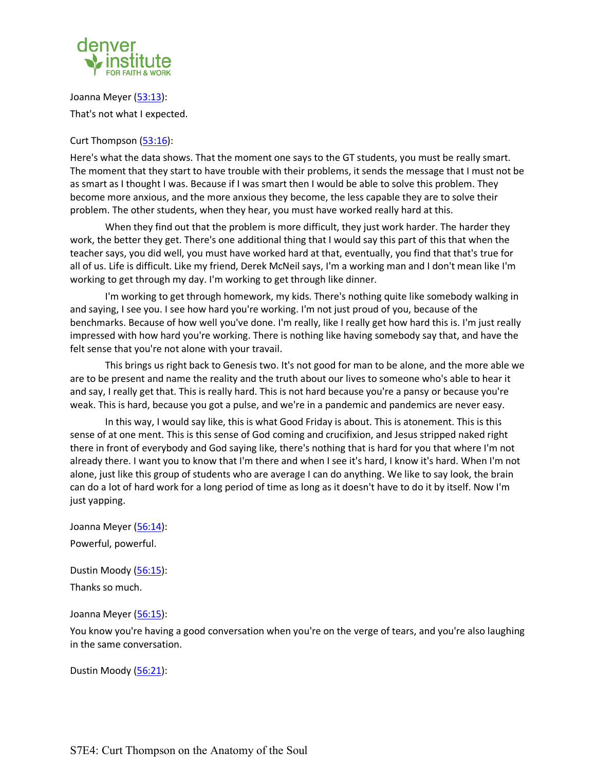

Joanna Meyer (53:13): That's not what I expected.

### Curt Thompson (53:16):

Here's what the data shows. That the moment one says to the GT students, you must be really smart. The moment that they start to have trouble with their problems, it sends the message that I must not be as smart as I thought I was. Because if I was smart then I would be able to solve this problem. They become more anxious, and the more anxious they become, the less capable they are to solve their problem. The other students, when they hear, you must have worked really hard at this.

When they find out that the problem is more difficult, they just work harder. The harder they work, the better they get. There's one additional thing that I would say this part of this that when the teacher says, you did well, you must have worked hard at that, eventually, you find that that's true for all of us. Life is difficult. Like my friend, Derek McNeil says, I'm a working man and I don't mean like I'm working to get through my day. I'm working to get through like dinner.

I'm working to get through homework, my kids. There's nothing quite like somebody walking in and saying, I see you. I see how hard you're working. I'm not just proud of you, because of the benchmarks. Because of how well you've done. I'm really, like I really get how hard this is. I'm just really impressed with how hard you're working. There is nothing like having somebody say that, and have the felt sense that you're not alone with your travail.

This brings us right back to Genesis two. It's not good for man to be alone, and the more able we are to be present and name the reality and the truth about our lives to someone who's able to hear it and say, I really get that. This is really hard. This is not hard because you're a pansy or because you're weak. This is hard, because you got a pulse, and we're in a pandemic and pandemics are never easy.

In this way, I would say like, this is what Good Friday is about. This is atonement. This is this sense of at one ment. This is this sense of God coming and crucifixion, and Jesus stripped naked right there in front of everybody and God saying like, there's nothing that is hard for you that where I'm not already there. I want you to know that I'm there and when I see it's hard, I know it's hard. When I'm not alone, just like this group of students who are average I can do anything. We like to say look, the brain can do a lot of hard work for a long period of time as long as it doesn't have to do it by itself. Now I'm just yapping.

Joanna Meyer (56:14): Powerful, powerful.

Dustin Moody (56:15): Thanks so much.

Joanna Meyer (56:15):

You know you're having a good conversation when you're on the verge of tears, and you're also laughing in the same conversation.

Dustin Moody (56:21):